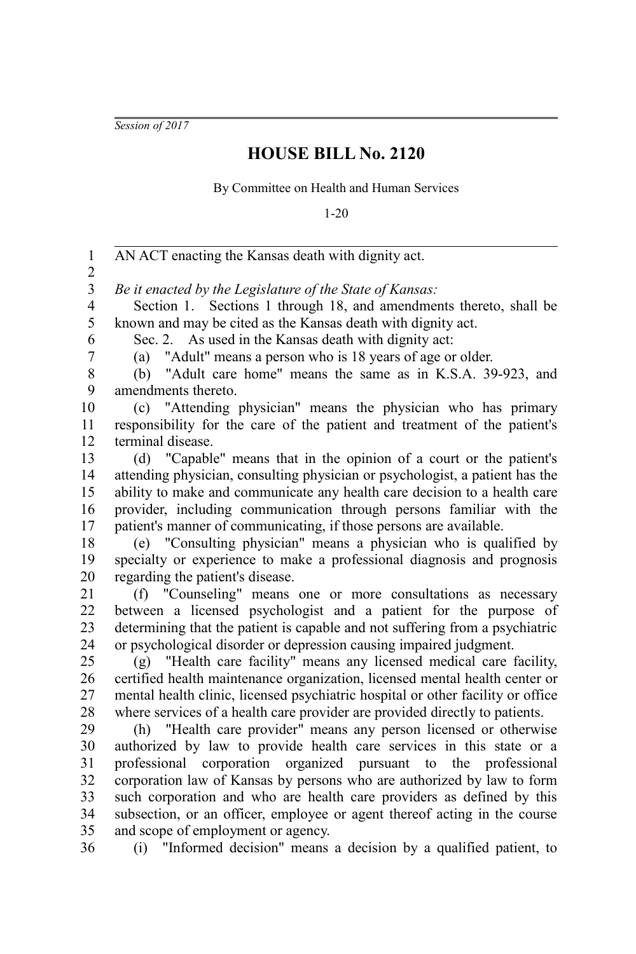*Session of 2017*

## **HOUSE BILL No. 2120**

By Committee on Health and Human Services

1-20

AN ACT enacting the Kansas death with dignity act. *Be it enacted by the Legislature of the State of Kansas:* Section 1. Sections 1 through 18, and amendments thereto, shall be known and may be cited as the Kansas death with dignity act. Sec. 2. As used in the Kansas death with dignity act: (a) "Adult" means a person who is 18 years of age or older. (b) "Adult care home" means the same as in K.S.A. 39-923, and amendments thereto. (c) "Attending physician" means the physician who has primary responsibility for the care of the patient and treatment of the patient's terminal disease. (d) "Capable" means that in the opinion of a court or the patient's attending physician, consulting physician or psychologist, a patient has the ability to make and communicate any health care decision to a health care provider, including communication through persons familiar with the patient's manner of communicating, if those persons are available. (e) "Consulting physician" means a physician who is qualified by specialty or experience to make a professional diagnosis and prognosis regarding the patient's disease. (f) "Counseling" means one or more consultations as necessary between a licensed psychologist and a patient for the purpose of determining that the patient is capable and not suffering from a psychiatric or psychological disorder or depression causing impaired judgment. (g) "Health care facility" means any licensed medical care facility, certified health maintenance organization, licensed mental health center or mental health clinic, licensed psychiatric hospital or other facility or office where services of a health care provider are provided directly to patients. (h) "Health care provider" means any person licensed or otherwise authorized by law to provide health care services in this state or a professional corporation organized pursuant to the professional corporation law of Kansas by persons who are authorized by law to form such corporation and who are health care providers as defined by this subsection, or an officer, employee or agent thereof acting in the course and scope of employment or agency. (i) "Informed decision" means a decision by a qualified patient, to 1 2 3 4 5 6 7 8 9 10 11 12 13 14 15 16 17 18 19 20 21 22 23 24 25 26 27 28 29 30 31 32 33 34 35 36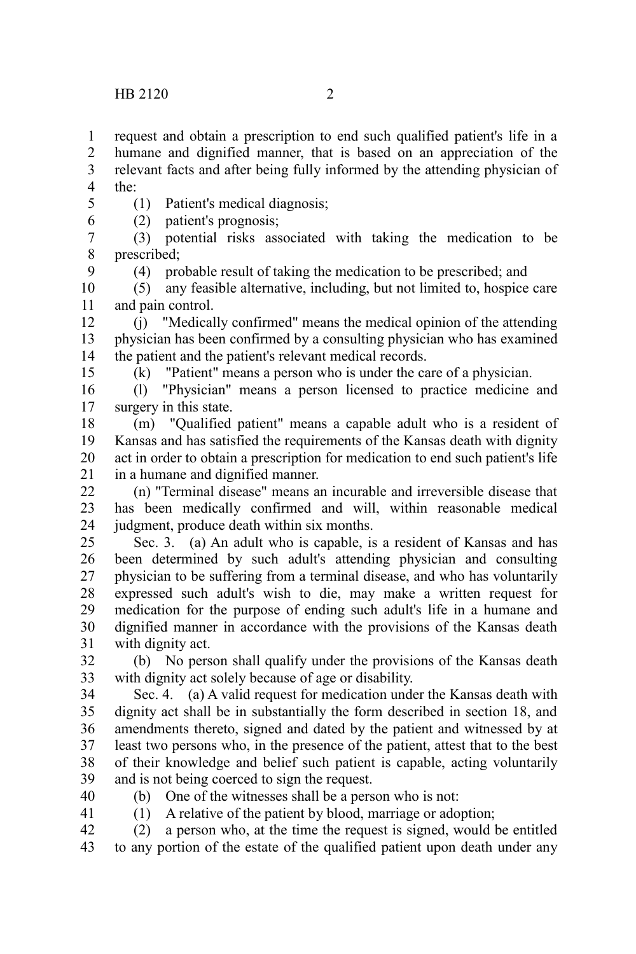request and obtain a prescription to end such qualified patient's life in a humane and dignified manner, that is based on an appreciation of the relevant facts and after being fully informed by the attending physician of the: 1 2 3 4

5 6

9

15

(1) Patient's medical diagnosis;

(2) patient's prognosis;

(3) potential risks associated with taking the medication to be prescribed; 7 8

(4) probable result of taking the medication to be prescribed; and

(5) any feasible alternative, including, but not limited to, hospice care and pain control. 10 11

(j) "Medically confirmed" means the medical opinion of the attending physician has been confirmed by a consulting physician who has examined the patient and the patient's relevant medical records. 12 13 14

(k) "Patient" means a person who is under the care of a physician.

(l) "Physician" means a person licensed to practice medicine and surgery in this state. 16 17

(m) "Qualified patient" means a capable adult who is a resident of Kansas and has satisfied the requirements of the Kansas death with dignity act in order to obtain a prescription for medication to end such patient's life in a humane and dignified manner. 18 19 20 21

(n) "Terminal disease" means an incurable and irreversible disease that has been medically confirmed and will, within reasonable medical judgment, produce death within six months. 22 23 24

Sec. 3. (a) An adult who is capable, is a resident of Kansas and has been determined by such adult's attending physician and consulting physician to be suffering from a terminal disease, and who has voluntarily expressed such adult's wish to die, may make a written request for medication for the purpose of ending such adult's life in a humane and dignified manner in accordance with the provisions of the Kansas death with dignity act. 25 26 27 28 29 30 31

(b) No person shall qualify under the provisions of the Kansas death with dignity act solely because of age or disability. 32 33

Sec. 4. (a) A valid request for medication under the Kansas death with dignity act shall be in substantially the form described in section 18, and amendments thereto, signed and dated by the patient and witnessed by at least two persons who, in the presence of the patient, attest that to the best of their knowledge and belief such patient is capable, acting voluntarily and is not being coerced to sign the request. 34 35 36 37 38 39

40 41 (b) One of the witnesses shall be a person who is not:

(1) A relative of the patient by blood, marriage or adoption;

(2) a person who, at the time the request is signed, would be entitled to any portion of the estate of the qualified patient upon death under any 42 43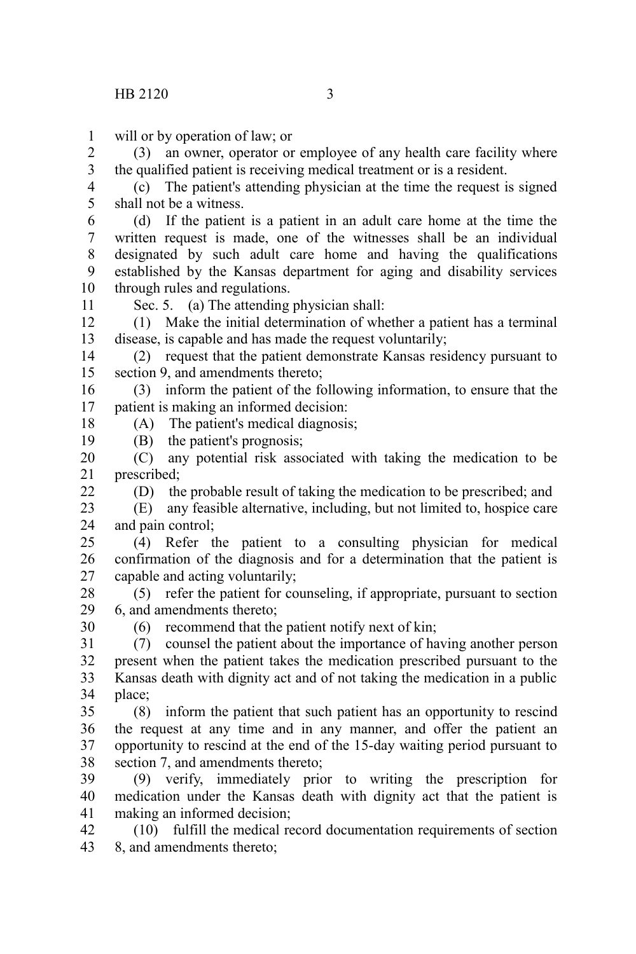will or by operation of law; or 1

(3) an owner, operator or employee of any health care facility where the qualified patient is receiving medical treatment or is a resident. 2 3

(c) The patient's attending physician at the time the request is signed shall not be a witness. 4 5

(d) If the patient is a patient in an adult care home at the time the written request is made, one of the witnesses shall be an individual designated by such adult care home and having the qualifications established by the Kansas department for aging and disability services through rules and regulations. 6 7 8 9 10

11

18 19

22

30

Sec. 5. (a) The attending physician shall:

(1) Make the initial determination of whether a patient has a terminal disease, is capable and has made the request voluntarily; 12 13

(2) request that the patient demonstrate Kansas residency pursuant to section 9, and amendments thereto; 14 15

(3) inform the patient of the following information, to ensure that the patient is making an informed decision: 16 17

(A) The patient's medical diagnosis;

(B) the patient's prognosis;

(C) any potential risk associated with taking the medication to be prescribed; 20 21

(D) the probable result of taking the medication to be prescribed; and

(E) any feasible alternative, including, but not limited to, hospice care and pain control; 23 24

(4) Refer the patient to a consulting physician for medical confirmation of the diagnosis and for a determination that the patient is capable and acting voluntarily; 25 26 27

(5) refer the patient for counseling, if appropriate, pursuant to section 6, and amendments thereto; 28 29

(6) recommend that the patient notify next of kin;

(7) counsel the patient about the importance of having another person present when the patient takes the medication prescribed pursuant to the Kansas death with dignity act and of not taking the medication in a public place; 31 32 33 34

(8) inform the patient that such patient has an opportunity to rescind the request at any time and in any manner, and offer the patient an opportunity to rescind at the end of the 15-day waiting period pursuant to section 7, and amendments thereto; 35 36 37 38

(9) verify, immediately prior to writing the prescription for medication under the Kansas death with dignity act that the patient is making an informed decision; 39 40 41

(10) fulfill the medical record documentation requirements of section 8, and amendments thereto; 42 43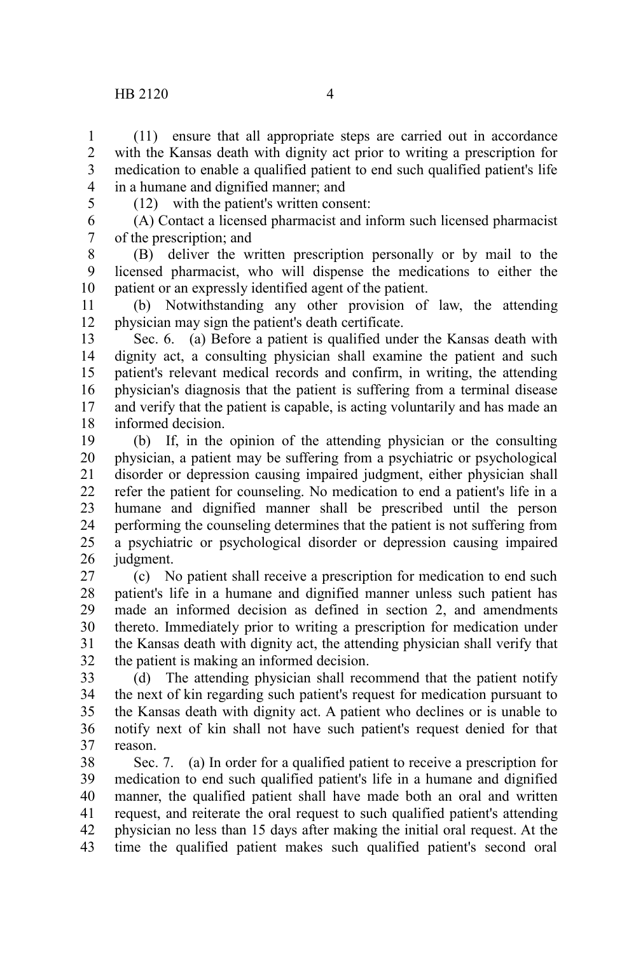## HB 2120 4

(11) ensure that all appropriate steps are carried out in accordance with the Kansas death with dignity act prior to writing a prescription for medication to enable a qualified patient to end such qualified patient's life in a humane and dignified manner; and 1 2 3 4

5

(12) with the patient's written consent:

(A) Contact a licensed pharmacist and inform such licensed pharmacist of the prescription; and 6 7

(B) deliver the written prescription personally or by mail to the licensed pharmacist, who will dispense the medications to either the patient or an expressly identified agent of the patient. 8 9 10

(b) Notwithstanding any other provision of law, the attending physician may sign the patient's death certificate. 11 12

Sec. 6. (a) Before a patient is qualified under the Kansas death with dignity act, a consulting physician shall examine the patient and such patient's relevant medical records and confirm, in writing, the attending physician's diagnosis that the patient is suffering from a terminal disease and verify that the patient is capable, is acting voluntarily and has made an informed decision. 13 14 15 16 17 18

(b) If, in the opinion of the attending physician or the consulting physician, a patient may be suffering from a psychiatric or psychological disorder or depression causing impaired judgment, either physician shall refer the patient for counseling. No medication to end a patient's life in a humane and dignified manner shall be prescribed until the person performing the counseling determines that the patient is not suffering from a psychiatric or psychological disorder or depression causing impaired judgment. 19 20 21 22 23 24 25 26

(c) No patient shall receive a prescription for medication to end such patient's life in a humane and dignified manner unless such patient has made an informed decision as defined in section 2, and amendments thereto. Immediately prior to writing a prescription for medication under the Kansas death with dignity act, the attending physician shall verify that the patient is making an informed decision. 27 28 29 30 31 32

(d) The attending physician shall recommend that the patient notify the next of kin regarding such patient's request for medication pursuant to the Kansas death with dignity act. A patient who declines or is unable to notify next of kin shall not have such patient's request denied for that reason. 33 34 35 36 37

Sec. 7. (a) In order for a qualified patient to receive a prescription for medication to end such qualified patient's life in a humane and dignified manner, the qualified patient shall have made both an oral and written request, and reiterate the oral request to such qualified patient's attending physician no less than 15 days after making the initial oral request. At the time the qualified patient makes such qualified patient's second oral 38 39 40 41 42 43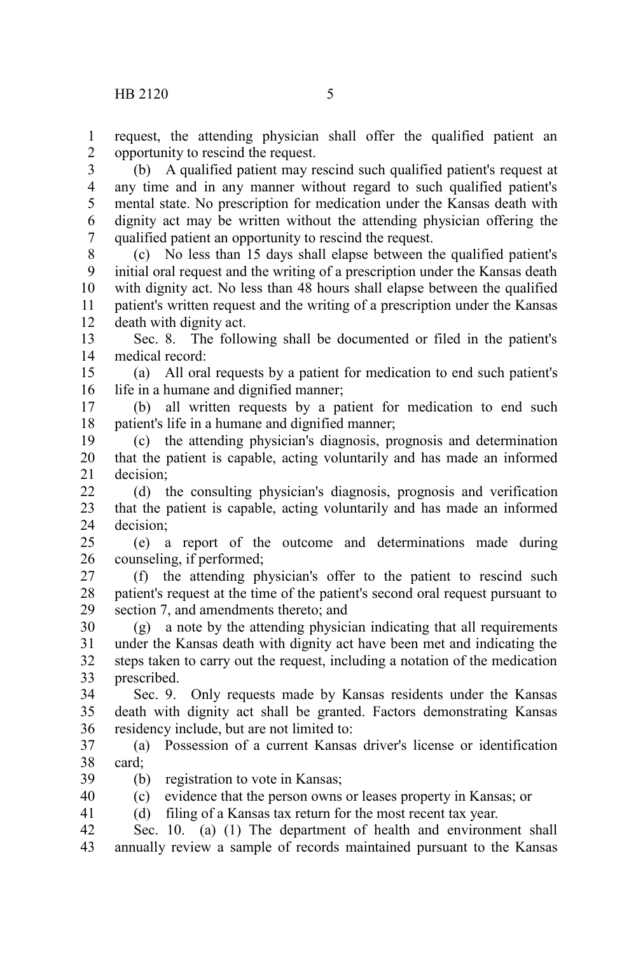request, the attending physician shall offer the qualified patient an opportunity to rescind the request. 1 2

(b) A qualified patient may rescind such qualified patient's request at any time and in any manner without regard to such qualified patient's mental state. No prescription for medication under the Kansas death with dignity act may be written without the attending physician offering the qualified patient an opportunity to rescind the request. 3 4 5 6 7

(c) No less than 15 days shall elapse between the qualified patient's initial oral request and the writing of a prescription under the Kansas death with dignity act. No less than 48 hours shall elapse between the qualified patient's written request and the writing of a prescription under the Kansas death with dignity act. 8 9 10 11 12

Sec. 8. The following shall be documented or filed in the patient's medical record: 13 14

(a) All oral requests by a patient for medication to end such patient's life in a humane and dignified manner; 15 16

(b) all written requests by a patient for medication to end such patient's life in a humane and dignified manner; 17 18

(c) the attending physician's diagnosis, prognosis and determination that the patient is capable, acting voluntarily and has made an informed decision; 19 20 21

(d) the consulting physician's diagnosis, prognosis and verification that the patient is capable, acting voluntarily and has made an informed decision;  $22$ 23 24

(e) a report of the outcome and determinations made during counseling, if performed;  $25$ 26

(f) the attending physician's offer to the patient to rescind such patient's request at the time of the patient's second oral request pursuant to section 7, and amendments thereto; and 27 28 29

(g) a note by the attending physician indicating that all requirements under the Kansas death with dignity act have been met and indicating the steps taken to carry out the request, including a notation of the medication prescribed. 30 31 32 33

Sec. 9. Only requests made by Kansas residents under the Kansas death with dignity act shall be granted. Factors demonstrating Kansas residency include, but are not limited to: 34 35 36

(a) Possession of a current Kansas driver's license or identification card; 37 38

(b) registration to vote in Kansas; 39

(c) evidence that the person owns or leases property in Kansas; or 40

(d) filing of a Kansas tax return for the most recent tax year. 41

Sec.  $10.$  (a)  $(1)$  The department of health and environment shall annually review a sample of records maintained pursuant to the Kansas 42 43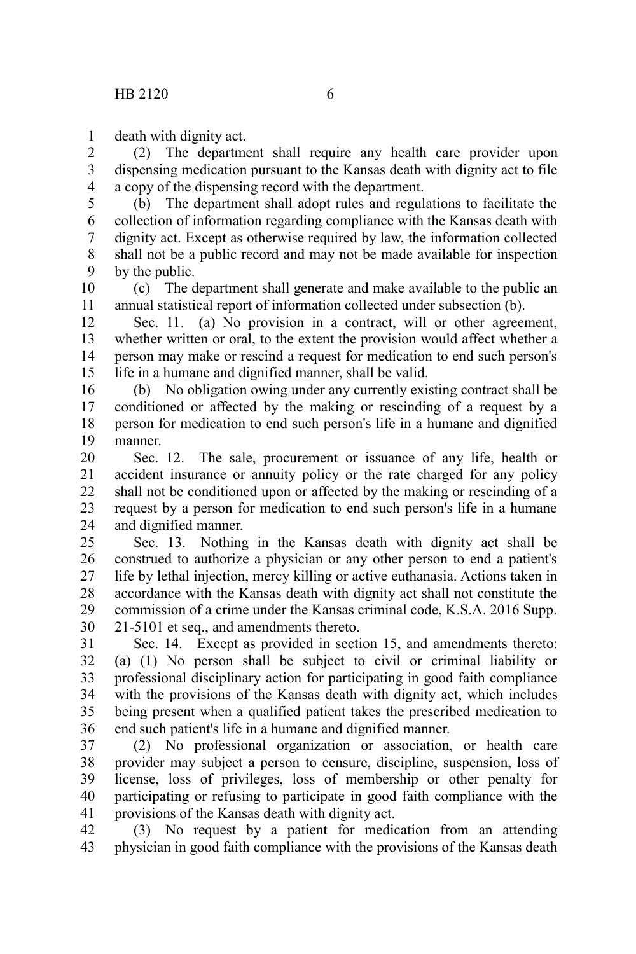death with dignity act. 1

(2) The department shall require any health care provider upon dispensing medication pursuant to the Kansas death with dignity act to file a copy of the dispensing record with the department. 2 3 4

(b) The department shall adopt rules and regulations to facilitate the collection of information regarding compliance with the Kansas death with dignity act. Except as otherwise required by law, the information collected shall not be a public record and may not be made available for inspection by the public. 5 6 7 8 9

(c) The department shall generate and make available to the public an annual statistical report of information collected under subsection (b). 10 11

Sec. 11. (a) No provision in a contract, will or other agreement, whether written or oral, to the extent the provision would affect whether a person may make or rescind a request for medication to end such person's life in a humane and dignified manner, shall be valid. 12 13 14 15

(b) No obligation owing under any currently existing contract shall be conditioned or affected by the making or rescinding of a request by a person for medication to end such person's life in a humane and dignified manner. 16 17 18 19

Sec. 12. The sale, procurement or issuance of any life, health or accident insurance or annuity policy or the rate charged for any policy shall not be conditioned upon or affected by the making or rescinding of a request by a person for medication to end such person's life in a humane and dignified manner. 20 21 22 23 24

Sec. 13. Nothing in the Kansas death with dignity act shall be construed to authorize a physician or any other person to end a patient's life by lethal injection, mercy killing or active euthanasia. Actions taken in accordance with the Kansas death with dignity act shall not constitute the commission of a crime under the Kansas criminal code, K.S.A. 2016 Supp. 21-5101 et seq., and amendments thereto. 25 26 27 28 29 30

Sec. 14. Except as provided in section 15, and amendments thereto: (a) (1) No person shall be subject to civil or criminal liability or professional disciplinary action for participating in good faith compliance with the provisions of the Kansas death with dignity act, which includes being present when a qualified patient takes the prescribed medication to end such patient's life in a humane and dignified manner. 31 32 33 34 35 36

(2) No professional organization or association, or health care provider may subject a person to censure, discipline, suspension, loss of license, loss of privileges, loss of membership or other penalty for participating or refusing to participate in good faith compliance with the provisions of the Kansas death with dignity act. 37 38 39 40 41

(3) No request by a patient for medication from an attending physician in good faith compliance with the provisions of the Kansas death 42 43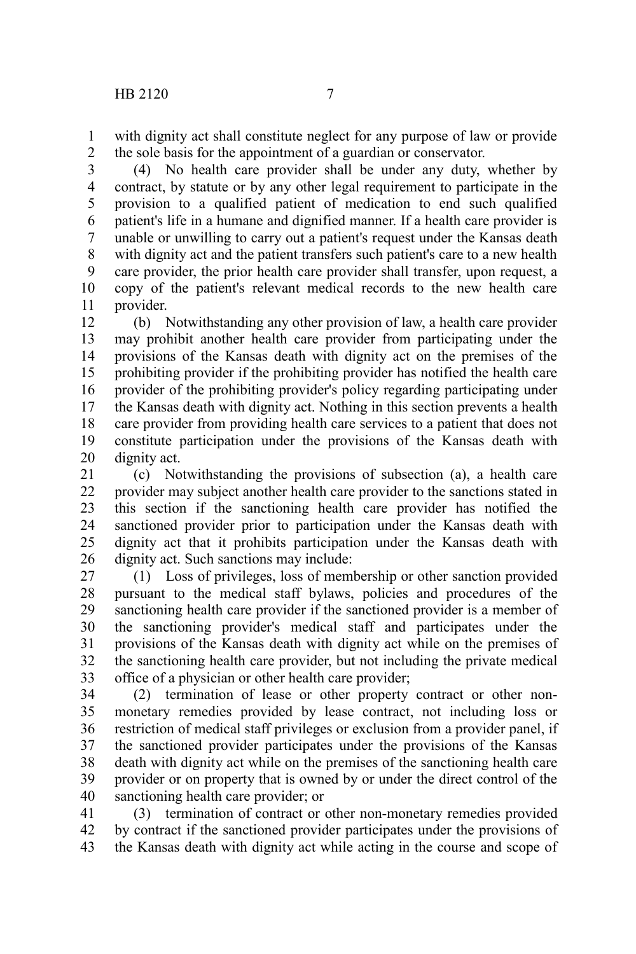with dignity act shall constitute neglect for any purpose of law or provide the sole basis for the appointment of a guardian or conservator. 1 2

(4) No health care provider shall be under any duty, whether by contract, by statute or by any other legal requirement to participate in the provision to a qualified patient of medication to end such qualified patient's life in a humane and dignified manner. If a health care provider is unable or unwilling to carry out a patient's request under the Kansas death with dignity act and the patient transfers such patient's care to a new health care provider, the prior health care provider shall transfer, upon request, a copy of the patient's relevant medical records to the new health care provider. 3 4 5 6 7 8 9 10 11

(b) Notwithstanding any other provision of law, a health care provider may prohibit another health care provider from participating under the provisions of the Kansas death with dignity act on the premises of the prohibiting provider if the prohibiting provider has notified the health care provider of the prohibiting provider's policy regarding participating under the Kansas death with dignity act. Nothing in this section prevents a health care provider from providing health care services to a patient that does not constitute participation under the provisions of the Kansas death with dignity act. 12 13 14 15 16 17 18 19 20

(c) Notwithstanding the provisions of subsection (a), a health care provider may subject another health care provider to the sanctions stated in this section if the sanctioning health care provider has notified the sanctioned provider prior to participation under the Kansas death with dignity act that it prohibits participation under the Kansas death with dignity act. Such sanctions may include: 21 22 23 24 25 26

(1) Loss of privileges, loss of membership or other sanction provided pursuant to the medical staff bylaws, policies and procedures of the sanctioning health care provider if the sanctioned provider is a member of the sanctioning provider's medical staff and participates under the provisions of the Kansas death with dignity act while on the premises of the sanctioning health care provider, but not including the private medical office of a physician or other health care provider; 27 28 29 30 31 32 33

(2) termination of lease or other property contract or other nonmonetary remedies provided by lease contract, not including loss or restriction of medical staff privileges or exclusion from a provider panel, if the sanctioned provider participates under the provisions of the Kansas death with dignity act while on the premises of the sanctioning health care provider or on property that is owned by or under the direct control of the sanctioning health care provider; or 34 35 36 37 38 39 40

(3) termination of contract or other non-monetary remedies provided by contract if the sanctioned provider participates under the provisions of the Kansas death with dignity act while acting in the course and scope of 41 42 43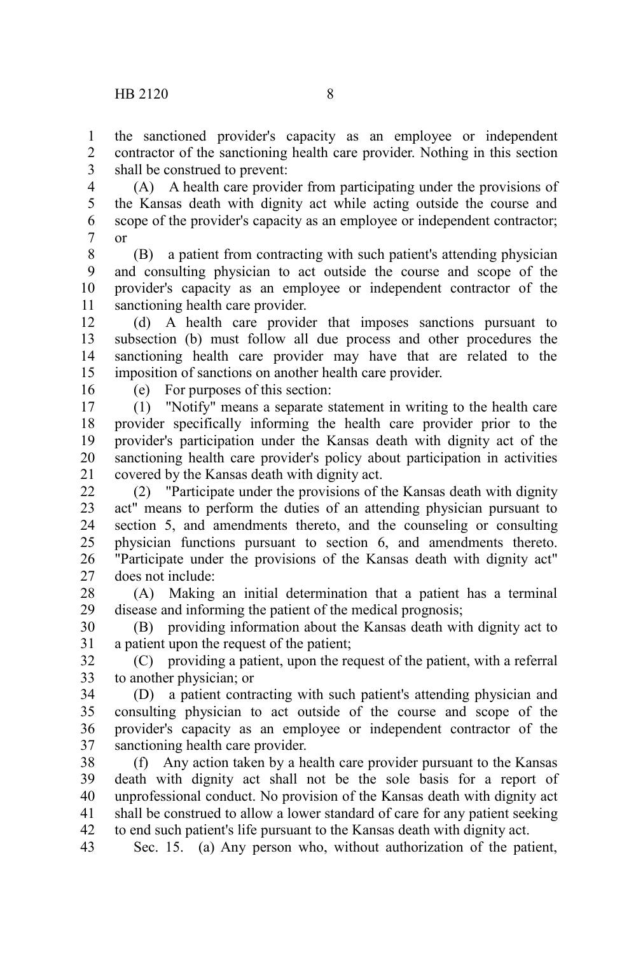the sanctioned provider's capacity as an employee or independent contractor of the sanctioning health care provider. Nothing in this section shall be construed to prevent: 1  $\mathcal{L}$ 3

(A) A health care provider from participating under the provisions of the Kansas death with dignity act while acting outside the course and scope of the provider's capacity as an employee or independent contractor; or 4 5 6 7

(B) a patient from contracting with such patient's attending physician and consulting physician to act outside the course and scope of the provider's capacity as an employee or independent contractor of the sanctioning health care provider. 8 9 10 11

(d) A health care provider that imposes sanctions pursuant to subsection (b) must follow all due process and other procedures the sanctioning health care provider may have that are related to the imposition of sanctions on another health care provider. 12 13 14 15

16

(e) For purposes of this section:

(1) "Notify" means a separate statement in writing to the health care provider specifically informing the health care provider prior to the provider's participation under the Kansas death with dignity act of the sanctioning health care provider's policy about participation in activities covered by the Kansas death with dignity act. 17 18 19 20 21

(2) "Participate under the provisions of the Kansas death with dignity act" means to perform the duties of an attending physician pursuant to section 5, and amendments thereto, and the counseling or consulting physician functions pursuant to section 6, and amendments thereto. "Participate under the provisions of the Kansas death with dignity act" does not include:  $22$ 23 24 25 26 27

(A) Making an initial determination that a patient has a terminal disease and informing the patient of the medical prognosis; 28 29

(B) providing information about the Kansas death with dignity act to a patient upon the request of the patient; 30 31

(C) providing a patient, upon the request of the patient, with a referral to another physician; or 32 33

(D) a patient contracting with such patient's attending physician and consulting physician to act outside of the course and scope of the provider's capacity as an employee or independent contractor of the sanctioning health care provider. 34 35 36 37

(f) Any action taken by a health care provider pursuant to the Kansas death with dignity act shall not be the sole basis for a report of unprofessional conduct. No provision of the Kansas death with dignity act shall be construed to allow a lower standard of care for any patient seeking to end such patient's life pursuant to the Kansas death with dignity act. 38 39 40 41 42

Sec. 15. (a) Any person who, without authorization of the patient, 43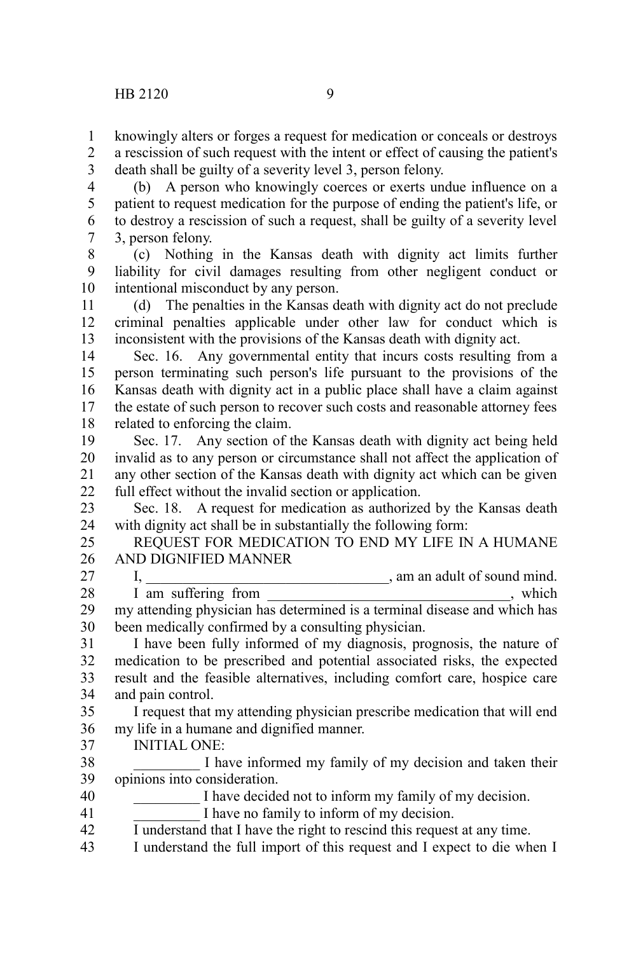knowingly alters or forges a request for medication or conceals or destroys a rescission of such request with the intent or effect of causing the patient's death shall be guilty of a severity level 3, person felony. 1 2 3

(b) A person who knowingly coerces or exerts undue influence on a patient to request medication for the purpose of ending the patient's life, or to destroy a rescission of such a request, shall be guilty of a severity level 3, person felony. 4 5 6 7

(c) Nothing in the Kansas death with dignity act limits further liability for civil damages resulting from other negligent conduct or intentional misconduct by any person. 8 9 10

(d) The penalties in the Kansas death with dignity act do not preclude criminal penalties applicable under other law for conduct which is inconsistent with the provisions of the Kansas death with dignity act. 11 12 13

Sec. 16. Any governmental entity that incurs costs resulting from a person terminating such person's life pursuant to the provisions of the Kansas death with dignity act in a public place shall have a claim against the estate of such person to recover such costs and reasonable attorney fees related to enforcing the claim. 14 15 16 17 18

Sec. 17. Any section of the Kansas death with dignity act being held invalid as to any person or circumstance shall not affect the application of any other section of the Kansas death with dignity act which can be given full effect without the invalid section or application. 19 20 21 22

Sec. 18. A request for medication as authorized by the Kansas death with dignity act shall be in substantially the following form: 23 24

REQUEST FOR MEDICATION TO END MY LIFE IN A HUMANE AND DIGNIFIED MANNER 25 26

I, \_\_\_\_\_\_\_\_\_\_\_\_\_\_\_\_\_\_\_\_\_\_\_\_\_\_\_\_\_\_\_\_\_, am an adult of sound mind. I am suffering from \_\_\_\_\_\_\_\_\_\_\_\_\_\_\_\_\_\_\_\_\_\_\_\_\_\_\_\_, which my attending physician has determined is a terminal disease and which has been medically confirmed by a consulting physician. 27 28 29 30

I have been fully informed of my diagnosis, prognosis, the nature of medication to be prescribed and potential associated risks, the expected result and the feasible alternatives, including comfort care, hospice care and pain control. 31 32 33 34

I request that my attending physician prescribe medication that will end my life in a humane and dignified manner. 35 36

INITIAL ONE: 37

I have informed my family of my decision and taken their opinions into consideration. 38 39

I have decided not to inform my family of my decision. 40

I have no family to inform of my decision. 41

I understand that I have the right to rescind this request at any time. 42

I understand the full import of this request and I expect to die when I 43